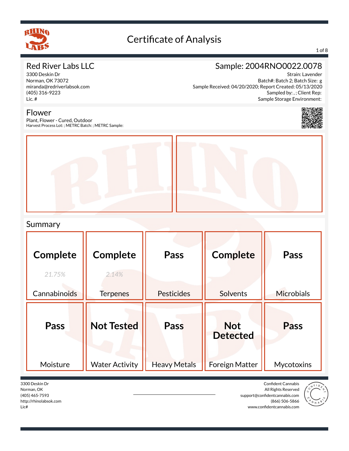

#### 1 of 8

## Red River Labs LLC

3300 Deskin Dr Norman, OK 73072 miranda@redriverlabsok.com (405) 316-9223 Lic. #

## Sample: 2004RNO0022.0078

Strain: Lavender Batch#: Batch 2; Batch Size: g Sample Received: 04/20/2020; Report Created: 05/13/2020 Sampled by: , ; Client Rep: Sample Storage Environment:



Flower

Plant, Flower - Cured, Outdoor Harvest Process Lot: ; METRC Batch: ; METRC Sample:



#### Summary

| <b>Complete</b><br>21.75%<br>Cannabinoids | <b>Complete</b><br>2.14%<br><b>Terpenes</b> | Pass<br>Pesticides          | <b>Complete</b><br><b>Solvents</b>                     | <b>Pass</b><br><b>Microbials</b> |
|-------------------------------------------|---------------------------------------------|-----------------------------|--------------------------------------------------------|----------------------------------|
| Pass<br>Moisture                          | <b>Not Tested</b><br><b>Water Activity</b>  | Pass<br><b>Heavy Metals</b> | <b>Not</b><br><b>Detected</b><br><b>Foreign Matter</b> | <b>Pass</b><br>Mycotoxins        |

3300 Deskin Dr Norman, OK (405) 465-7593 http://rhinolabsok.com Lic#

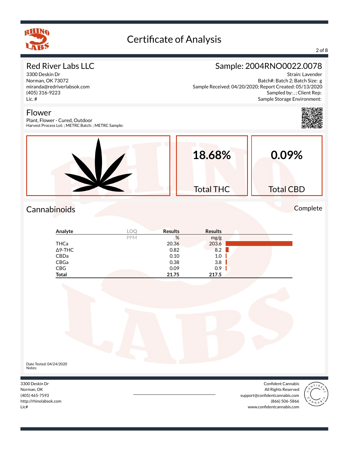

Flower

# Certificate of Analysis

#### 2 of 8

#### Red River Labs LLC

3300 Deskin Dr Norman, OK 73072 miranda@redriverlabsok.com (405) 316-9223 Lic. #

## Sample: 2004RNO0022.0078

Strain: Lavender Batch#: Batch 2; Batch Size: g Sample Received: 04/20/2020; Report Created: 05/13/2020 Sampled by: , ; Client Rep: Sample Storage Environment:



Plant, Flower - Cured, Outdoor Harvest Process Lot: ; METRC Batch: ; METRC Sample:



## Cannabinoids Complete

| Analyte |            | <b>Results</b> | <b>Results</b> |  |
|---------|------------|----------------|----------------|--|
|         | <b>PPM</b> | %              | mg/g           |  |
| THCa    |            | 20.36          | 203.6          |  |
| ∆9-THC  |            | 0.82           | 8.2            |  |
| CBDa    |            | 0.10           | 1.0            |  |
| CBGa    |            | 0.38           | 3.8            |  |
| CBG     |            | 0.09           | 0.9            |  |
| Total   |            | 21.75          | 217.5          |  |



3300 Deskin Dr Norman, OK (405) 465-7593 http://rhinolabsok.com Lic#



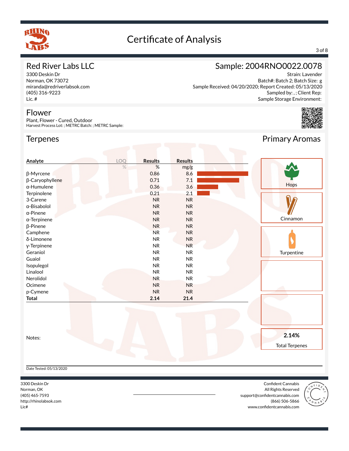

#### 3 of 8

#### Red River Labs LLC

3300 Deskin Dr Norman, OK 73072 miranda@redriverlabsok.com (405) 316-9223 Lic. #

#### Flower

Plant, Flower - Cured, Outdoor Harvest Process Lot: ; METRC Batch: ; METRC Sample:

#### **Terpenes**

## Sample: 2004RNO0022.0078

Strain: Lavender Batch#: Batch 2; Batch Size: g Sample Received: 04/20/2020; Report Created: 05/13/2020 Sampled by: , ; Client Rep: Sample Storage Environment:



Primary Aromas

#### Notes: **Analyte LOQ Results Results** % % mg/g  $\beta$ -Myrcene 8.6  $\beta$ -Caryophyllene 7.1 0.71 7.1 ž-Humulene 0.36 3.6 Terpinolene 2.1 2.1 2.1 3-Carene NR NR NR α-Bisabolol **NR** NR NR α-Pinene NR NR NR α-Terpinene NR NR NR β-Pinene NR NR NR Camphene NR NR NR NR δ-Limonene NR NR NR y-Terpinene NR NR NR NR Geraniol NR NR NR NR Guaiol NR NR Isopulegol NR NR Linalool NR NR Nerolidol NR NR Ocimene NR NR NR NR p-Cymene NR NR **Total 2.14 21.4 Hops** Cinnamon **Turpentine 2.14%** Total Terpenes Date Tested: 05/13/2020

3300 Deskin Dr Norman, OK (405) 465-7593 http://rhinolabsok.com Lic#

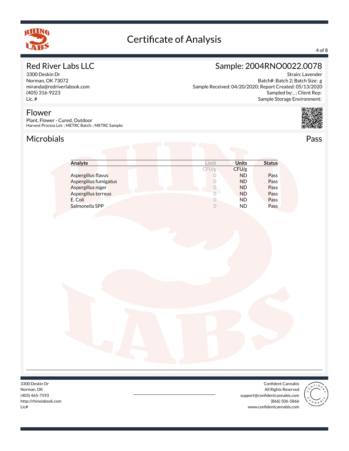

#### 4 of 8

## Red River Labs LLC

3300 Deskin Dr Norman, OK 73072 miranda@redriverlabsok.com (405) 316-9223 Lic. #

#### Flower

Plant, Flower - Cured, Outdoor Harvest Process Lot: ; METRC Batch: ; METRC Sample:

## Microbials Pass



Strain: Lavender

Batch#: Batch 2; Batch Size: g

Sampled by: , ; Client Rep:

Sample: 2004RNO0022.0078

Sample Received: 04/20/2020; Report Created: 05/13/2020

| Analyte               | Limit | <b>Units</b> | <b>Status</b> |
|-----------------------|-------|--------------|---------------|
|                       | CFU/g | CFU/g        |               |
| Aspergillus flavus    |       | <b>ND</b>    | Pass          |
| Aspergillus fumigatus |       | <b>ND</b>    | Pass          |
| Aspergillus niger     |       | <b>ND</b>    | Pass          |
| Aspergillus terreus   |       | <b>ND</b>    | Pass          |
| E. Coli               |       | <b>ND</b>    | Pass          |
| Salmonella SPP        |       | ND           | Pass          |

3300 Deskin Dr Norman, OK (405) 465-7593 http://rhinolabsok.com Lic#

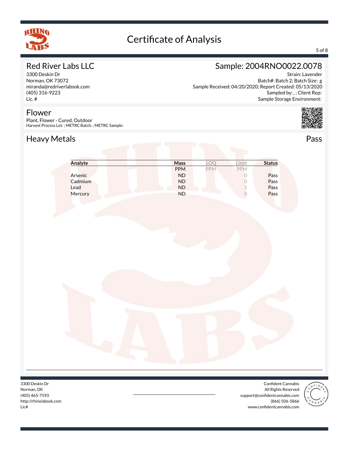

#### 5 of 8

## Red River Labs LLC

3300 Deskin Dr Norman, OK 73072 miranda@redriverlabsok.com (405) 316-9223 Lic. #

#### Flower

Plant, Flower - Cured, Outdoor Harvest Process Lot: ; METRC Batch: ; METRC Sample:

## Heavy Metals **Pass**



Strain: Lavender Batch#: Batch 2; Batch Size: g Sample Received: 04/20/2020; Report Created: 05/13/2020 Sampled by: , ; Client Rep: Sample Storage Environment:



| Analyte | <b>Mass</b> |            | imit       | <b>Status</b> |
|---------|-------------|------------|------------|---------------|
|         | <b>PPM</b>  | <b>PPM</b> | <b>PPM</b> |               |
| Arsenic | <b>ND</b>   |            |            | Pass          |
| Cadmium | <b>ND</b>   |            |            | Pass          |
| Lead    | <b>ND</b>   |            |            | Pass          |
| Mercury | <b>ND</b>   |            |            | Pass          |

3300 Deskin Dr Norman, OK (405) 465-7593 http://rhinolabsok.com Lic#

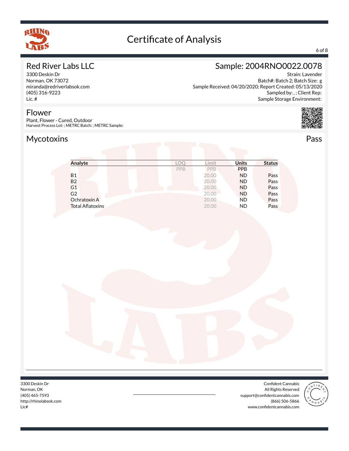

#### 6 of 8

## Red River Labs LLC

3300 Deskin Dr Norman, OK 73072 miranda@redriverlabsok.com (405) 316-9223 Lic. #

## Sample: 2004RNO0022.0078

Strain: Lavender Batch#: Batch 2; Batch Size: g Sample Received: 04/20/2020; Report Created: 05/13/2020 Sampled by: , ; Client Rep: Sample Storage Environment:



Harvest Process Lot: ; METRC Batch: ; METRC Sample:

Plant, Flower - Cured, Outdoor

## Mycotoxins **Pass**

Flower

| Analyte                 | $\bigcap$ | .imit | Units      | <b>Status</b> |
|-------------------------|-----------|-------|------------|---------------|
|                         | PPB       | PPB   | <b>PPB</b> |               |
| <b>B1</b>               |           | 20.00 | <b>ND</b>  | Pass          |
| <b>B2</b>               |           | 20.00 | <b>ND</b>  | Pass          |
| G <sub>1</sub>          |           | 20.00 | <b>ND</b>  | Pass          |
| G2                      |           | 20.00 | <b>ND</b>  | Pass          |
| Ochratoxin A            |           | 20.00 | <b>ND</b>  | Pass          |
| <b>Total Aflatoxins</b> |           | 20.00 | <b>ND</b>  | Pass          |

3300 Deskin Dr Norman, OK (405) 465-7593 http://rhinolabsok.com Lic#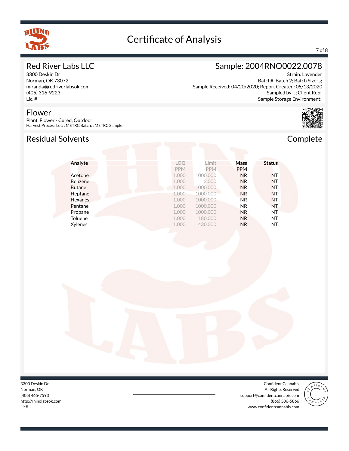

#### 7 of 8

## Red River Labs LLC

3300 Deskin Dr Norman, OK 73072 miranda@redriverlabsok.com (405) 316-9223 Lic. #

#### Flower

Plant, Flower - Cured, Outdoor Harvest Process Lot: ; METRC Batch: ; METRC Sample:

## Residual Solvents **Complete**

## Sample: 2004RNO0022.0078

Strain: Lavender Batch#: Batch 2; Batch Size: g Sample Received: 04/20/2020; Report Created: 05/13/2020 Sampled by: , ; Client Rep: Sample Storage Environment:



| Analyte        | LOO        | Limit      | <b>Mass</b>    | <b>Status</b> |
|----------------|------------|------------|----------------|---------------|
|                | <b>PPM</b> | <b>PPM</b> | <b>PPM</b>     |               |
| Acetone        | 1.000      | 1000.000   | N <sub>R</sub> | <b>NT</b>     |
| <b>Benzene</b> | 1.000      | 2.000      | <b>NR</b>      | <b>NT</b>     |
| <b>Butane</b>  | 1.000      | 1000.000   | N <sub>R</sub> | <b>NT</b>     |
| Heptane        | 1.000      | 1000.000   | <b>NR</b>      | <b>NT</b>     |
| <b>Hexanes</b> | 1.000      | 1000.000   | <b>NR</b>      | <b>NT</b>     |
| Pentane        | 1.000      | 1000.000   | NR.            | <b>NT</b>     |
| Propane        | 1.000      | 1000.000   | N <sub>R</sub> | NT            |
| Toluene        | 1.000      | 180,000    | N <sub>R</sub> | NT            |
| Xylenes        | 1.000      | 430.000    | N <sub>R</sub> | NT            |

3300 Deskin Dr Norman, OK (405) 465-7593 http://rhinolabsok.com Lic#